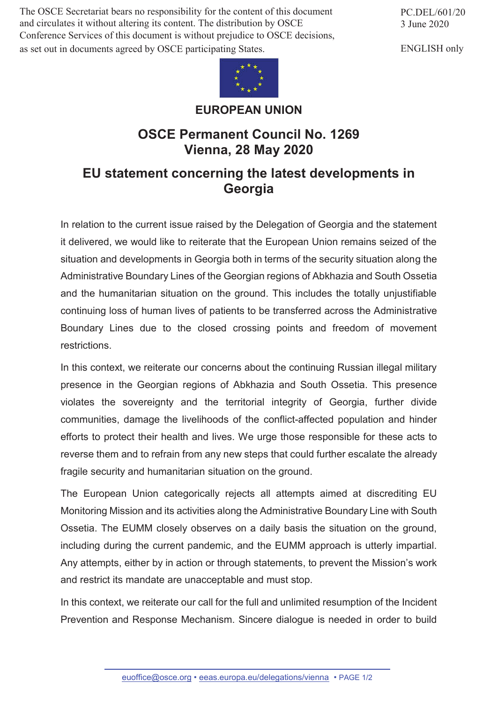The OSCE Secretariat bears no responsibility for the content of this document and circulates it without altering its content. The distribution by OSCE Conference Services of this document is without prejudice to OSCE decisions, as set out in documents agreed by OSCE participating States.



## **EUROPEAN UNION**

## **OSCE Permanent Council No. 1269 Vienna, 28 May 2020**

## **EU statement concerning the latest developments in Georgia**

In relation to the current issue raised by the Delegation of Georgia and the statement it delivered, we would like to reiterate that the European Union remains seized of the situation and developments in Georgia both in terms of the security situation along the Administrative Boundary Lines of the Georgian regions of Abkhazia and South Ossetia and the humanitarian situation on the ground. This includes the totally unjustifiable continuing loss of human lives of patients to be transferred across the Administrative Boundary Lines due to the closed crossing points and freedom of movement restrictions.

In this context, we reiterate our concerns about the continuing Russian illegal military presence in the Georgian regions of Abkhazia and South Ossetia. This presence violates the sovereignty and the territorial integrity of Georgia, further divide communities, damage the livelihoods of the conflict-affected population and hinder efforts to protect their health and lives. We urge those responsible for these acts to reverse them and to refrain from any new steps that could further escalate the already fragile security and humanitarian situation on the ground.

The European Union categorically rejects all attempts aimed at discrediting EU Monitoring Mission and its activities along the Administrative Boundary Line with South Ossetia. The EUMM closely observes on a daily basis the situation on the ground, including during the current pandemic, and the EUMM approach is utterly impartial. Any attempts, either by in action or through statements, to prevent the Mission's work and restrict its mandate are unacceptable and must stop.

In this context, we reiterate our call for the full and unlimited resumption of the Incident Prevention and Response Mechanism. Sincere dialogue is needed in order to build

PC.DEL/601/20 3 June 2020

ENGLISH only